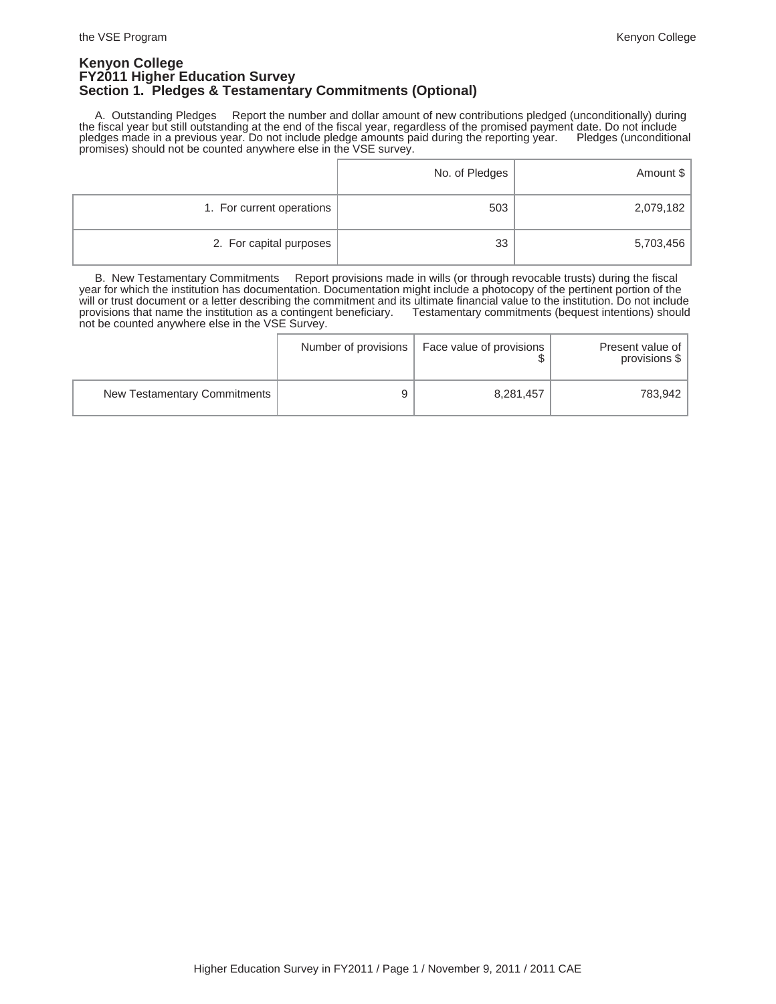### **Kenyon College FY2011 Higher Education Survey Section 1. Pledges & Testamentary Commitments (Optional)**

 A. Outstanding Pledges Report the number and dollar amount of new contributions pledged (unconditionally) during the fiscal year but still outstanding at the end of the fiscal year, regardless of the promised payment date. Do not include pledges made in a previous year. Do not include pledge amounts paid during the reporting year. Pledges (unconditional promises) should not be counted anywhere else in the VSE survey.

|                           | No. of Pledges | Amount \$ |
|---------------------------|----------------|-----------|
| 1. For current operations | 503            | 2,079,182 |
| 2. For capital purposes   | 33             | 5,703,456 |

 B. New Testamentary Commitments Report provisions made in wills (or through revocable trusts) during the fiscal year for which the institution has documentation. Documentation might include a photocopy of the pertinent portion of the will or trust document or a letter describing the commitment and its ultimate financial value to the institution. Do not include<br>provisions that name the institution as a contingent beneficiary. Testamentary commitments (b provisions that name the institution as a contingent beneficiary. not be counted anywhere else in the VSE Survey.

|                              | Number of provisions | Face value of provisions | Present value of<br>provisions \$ |
|------------------------------|----------------------|--------------------------|-----------------------------------|
| New Testamentary Commitments |                      | 8,281,457                | 783,942                           |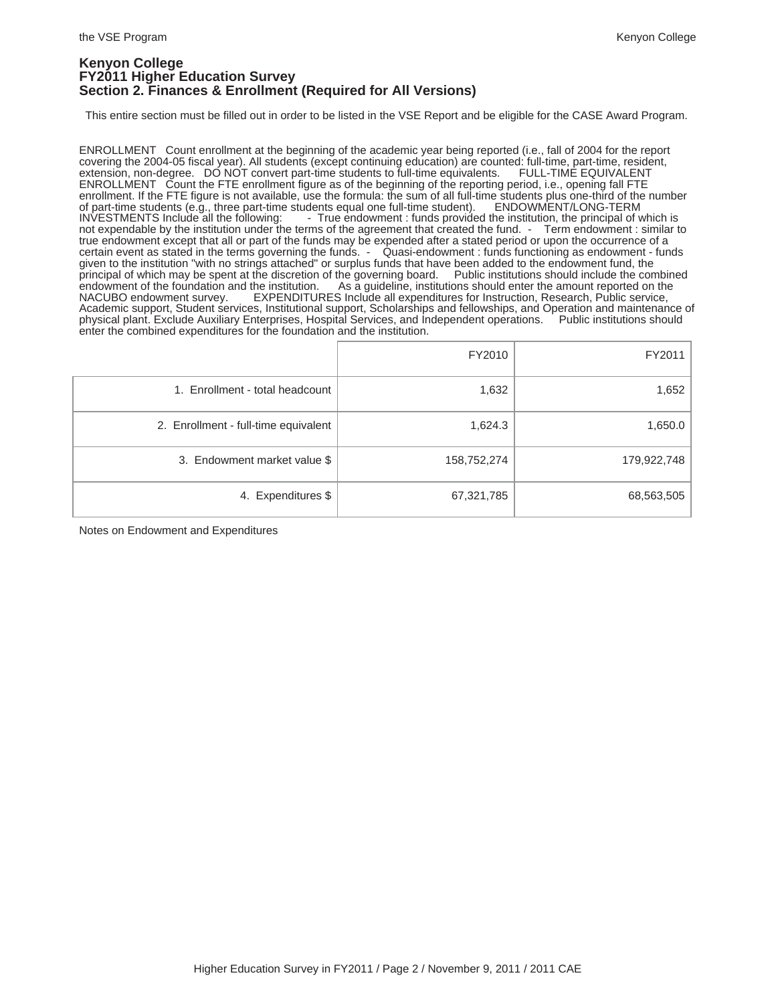### **Kenyon College FY2011 Higher Education Survey Section 2. Finances & Enrollment (Required for All Versions)**

This entire section must be filled out in order to be listed in the VSE Report and be eligible for the CASE Award Program.

ENROLLMENT Count enrollment at the beginning of the academic year being reported (i.e., fall of 2004 for the report covering the 2004-05 fiscal year). All students (except continuing education) are counted: full-time, part-time, resident, extension, non-degree. DO NOT convert part-time students to full-time equivalents. FULL-TIME EQUIVA extension, non-degree. DO NOT convert part-time students to full-time equivalents. ENROLLMENT Count the FTE enrollment figure as of the beginning of the reporting period, i.e., opening fall FTE enrollment. If the FTE figure is not available, use the formula: the sum of all full-time students plus one-third of the number<br>of part-time students (e.g., three part-time students equal one full-time student). ENDOWMENT/ of part-time students (e.g., three part-time students equal one full-time student). ENDOWMENT/LONG-TERM INVESTMENTS Include all the following: - True endowment : funds provided the institution, the principal of which is INVESTMENTS Include all the following: - True endowment : funds provided the institution, the principal of which is not expendable by the institution under the terms of the agreement that created the fund. - Term endowment true endowment except that all or part of the funds may be expended after a stated period or upon the occurrence of a certain event as stated in the terms governing the funds. - Quasi-endowment : funds functioning as endowment - funds given to the institution "with no strings attached" or surplus funds that have been added to the endowment fund, the<br>principal of which may be spent at the discretion of the governing board. Public institutions should incl principal of which may be spent at the discretion of the governing board.<br>endowment of the foundation and the institution. As a guideline, institutions endowment of the foundation and the institution. As a guideline, institutions should enter the amount reported on the NACUBO endowment survey. EXPENDITURES Include all expenditures for Instruction, Research, Public service EXPENDITURES Include all expenditures for Instruction, Research, Public service, Academic support, Student services, Institutional support, Scholarships and fellowships, and Operation and maintenance of physical plant. Exclude Auxiliary Enterprises, Hospital Services, and Independent operations. Public institutions should enter the combined expenditures for the foundation and the institution.

|                                      | FY2010      | FY2011      |
|--------------------------------------|-------------|-------------|
| 1. Enrollment - total headcount      | 1,632       | 1,652       |
| 2. Enrollment - full-time equivalent | 1,624.3     | 1,650.0     |
| 3. Endowment market value \$         | 158,752,274 | 179,922,748 |
| 4. Expenditures \$                   | 67,321,785  | 68,563,505  |

Notes on Endowment and Expenditures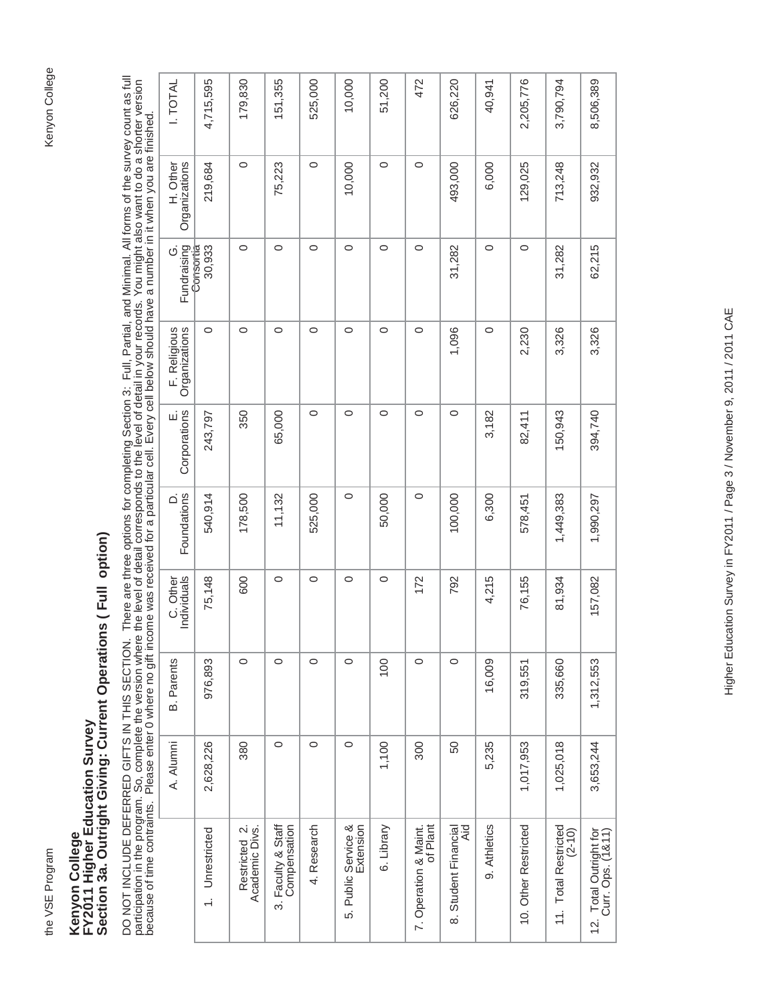# Kenyon College

# Kenyon College<br>FY2011 Higher Education Survey<br>Section 3a. Outright Giving: Current Operations ( Full option) **Section 3a. Outright Giving: Current Operations ( Full option) FY2011 Higher Education Survey Kenyon College**

DO NOT INCLUDE DEFERRED GIFTS IN THIS SECTION. There are three options for completing Section 3: Full, Partial, and Minimal. All forms of the survey count as full<br>participation in the program. So, complete the version wher DO NOT INCLUDE DEFERRED GIFTS GIFTS GIFTS IN THIS SECTION. There are three options for completing Section 3: Full, Partial, and Minimal. All forms of the survey count as full participation in the program. So, complete the version where the level of detail corresponds to the level of detail in your records. You might also want to do a shorter version because of time contraints. Please enter 0 where no gift income was received for a particular cell. Every cell below should have a number in it when you are finished.

| 4,715,595<br>179,830<br>151,355<br>472<br>2,205,776<br><b>I. TOTAL</b><br>525,000<br>10,000<br>51,200<br>626,220<br>3,790,794<br>8,506,389<br>40,941<br>$\circ$<br>$\circ$<br>$\circ$<br>$\circ$<br>Organizations<br>10,000<br>493,000<br>129,025<br>713,248<br>932,932<br>219,684<br>75,223<br>6,000<br>H. Other<br>$\circ$<br>$\circ$<br>$\circ$<br>$\circ$<br>$\circ$<br>$\circ$<br>$\circ$<br>$\circ$<br>Fundraising<br>62,215<br>30,933<br>31,282<br>31,282<br>Ö<br>Consortia<br>$\circ$<br>F. Religious<br>Organizations<br>$\circ$<br>$\circ$<br>$\circ$<br>$\circ$<br>$\circ$<br>$\circ$<br>1,096<br>$\circ$<br>3,326<br>2,230<br>3,326<br>$\circ$<br>E.<br>Corporations<br>$\circ$<br>$\circ$<br>$\circ$<br>$\circ$<br>150,943<br>350<br>65,000<br>3,182<br>394,740<br>243,797<br>82,411<br>Foundations<br>$\circ$<br>$\circ$<br>178,500<br>50,000<br>540,914<br>11,132<br>525,000<br>100,000<br>6,300<br>1,990,297<br>1,449,383<br>Δ<br>578,451<br>$\circ$<br>$\circ$<br>$\circ$<br>$\circ$<br>C. Other<br>Individuals<br>75,148<br>600<br>172<br>4,215<br>76,155<br>792<br>157,082<br>81,934<br>$\circ$<br>$\circ$<br>$\circ$<br>976,893<br>$\circ$<br>$\circ$<br>100<br>$\circ$<br>1,312,553<br><b>B.</b> Parents<br>16,009<br>335,660<br>319,551<br>$\circ$<br>2,628,226<br>380<br>$\circ$<br>$\circ$<br>1,100<br>1,025,018<br>3,653,244<br>300<br>50<br>5,235<br>1,017,953<br>A. Alumni<br>9. Athletics<br>3. Faculty & Staff<br>Compensation<br>5. Public Service &<br>7. Operation & Maint.<br>10. Other Restricted<br>4. Research<br>6. Library<br>of Plant<br>11. Total Restricted<br>Academic Divs.<br>8. Student Financial<br>Aid<br>Restricted 2.<br>1. Unrestricted<br>$(2 - 10)$<br>12. Total Outright for<br>Curr. Ops. (1&11) |  |  |  |  |  |  |  |
|--------------------------------------------------------------------------------------------------------------------------------------------------------------------------------------------------------------------------------------------------------------------------------------------------------------------------------------------------------------------------------------------------------------------------------------------------------------------------------------------------------------------------------------------------------------------------------------------------------------------------------------------------------------------------------------------------------------------------------------------------------------------------------------------------------------------------------------------------------------------------------------------------------------------------------------------------------------------------------------------------------------------------------------------------------------------------------------------------------------------------------------------------------------------------------------------------------------------------------------------------------------------------------------------------------------------------------------------------------------------------------------------------------------------------------------------------------------------------------------------------------------------------------------------------------------------------------------------------------------------------------------------------------------------------------------------------------------------------------------------------------|--|--|--|--|--|--|--|
|                                                                                                                                                                                                                                                                                                                                                                                                                                                                                                                                                                                                                                                                                                                                                                                                                                                                                                                                                                                                                                                                                                                                                                                                                                                                                                                                                                                                                                                                                                                                                                                                                                                                                                                                                        |  |  |  |  |  |  |  |
|                                                                                                                                                                                                                                                                                                                                                                                                                                                                                                                                                                                                                                                                                                                                                                                                                                                                                                                                                                                                                                                                                                                                                                                                                                                                                                                                                                                                                                                                                                                                                                                                                                                                                                                                                        |  |  |  |  |  |  |  |
|                                                                                                                                                                                                                                                                                                                                                                                                                                                                                                                                                                                                                                                                                                                                                                                                                                                                                                                                                                                                                                                                                                                                                                                                                                                                                                                                                                                                                                                                                                                                                                                                                                                                                                                                                        |  |  |  |  |  |  |  |
|                                                                                                                                                                                                                                                                                                                                                                                                                                                                                                                                                                                                                                                                                                                                                                                                                                                                                                                                                                                                                                                                                                                                                                                                                                                                                                                                                                                                                                                                                                                                                                                                                                                                                                                                                        |  |  |  |  |  |  |  |
|                                                                                                                                                                                                                                                                                                                                                                                                                                                                                                                                                                                                                                                                                                                                                                                                                                                                                                                                                                                                                                                                                                                                                                                                                                                                                                                                                                                                                                                                                                                                                                                                                                                                                                                                                        |  |  |  |  |  |  |  |
|                                                                                                                                                                                                                                                                                                                                                                                                                                                                                                                                                                                                                                                                                                                                                                                                                                                                                                                                                                                                                                                                                                                                                                                                                                                                                                                                                                                                                                                                                                                                                                                                                                                                                                                                                        |  |  |  |  |  |  |  |
|                                                                                                                                                                                                                                                                                                                                                                                                                                                                                                                                                                                                                                                                                                                                                                                                                                                                                                                                                                                                                                                                                                                                                                                                                                                                                                                                                                                                                                                                                                                                                                                                                                                                                                                                                        |  |  |  |  |  |  |  |
|                                                                                                                                                                                                                                                                                                                                                                                                                                                                                                                                                                                                                                                                                                                                                                                                                                                                                                                                                                                                                                                                                                                                                                                                                                                                                                                                                                                                                                                                                                                                                                                                                                                                                                                                                        |  |  |  |  |  |  |  |
|                                                                                                                                                                                                                                                                                                                                                                                                                                                                                                                                                                                                                                                                                                                                                                                                                                                                                                                                                                                                                                                                                                                                                                                                                                                                                                                                                                                                                                                                                                                                                                                                                                                                                                                                                        |  |  |  |  |  |  |  |
|                                                                                                                                                                                                                                                                                                                                                                                                                                                                                                                                                                                                                                                                                                                                                                                                                                                                                                                                                                                                                                                                                                                                                                                                                                                                                                                                                                                                                                                                                                                                                                                                                                                                                                                                                        |  |  |  |  |  |  |  |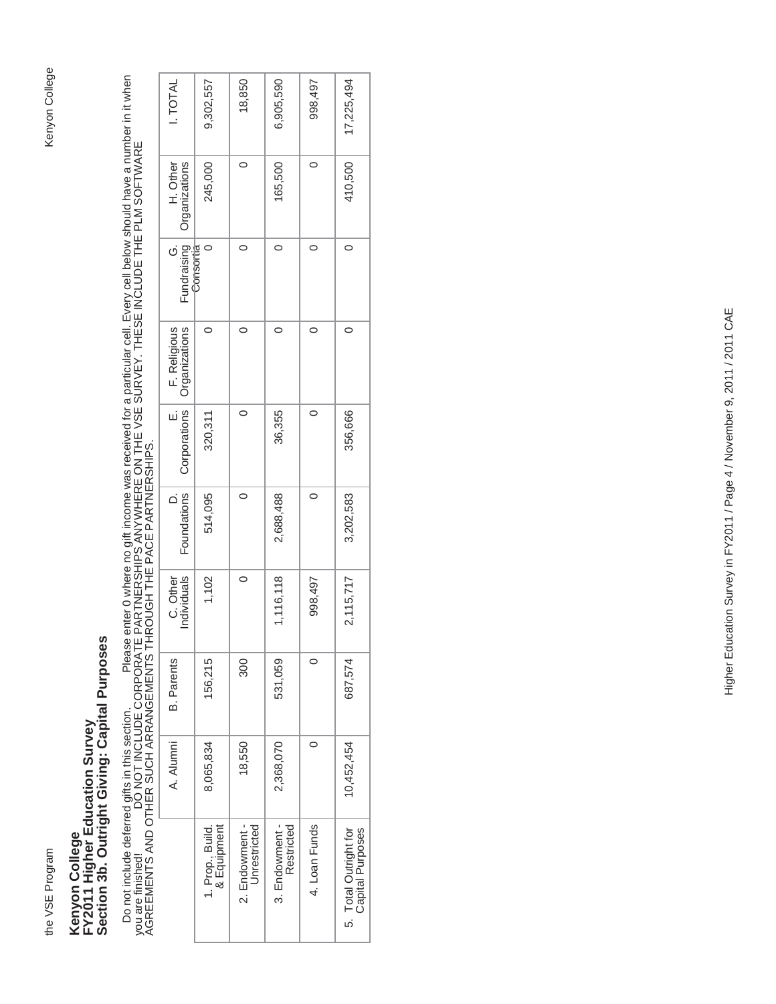# Kenyon College the VSE Program Kenyon College

# Kenyon College<br>FY2011 Higher Education Survey<br>Section 3b. Outright Giving: Capital Purposes **Section 3b. Outright Giving: Capital Purposes FY2011 Higher Education Survey Kenyon College**

Do not include deferred gifts in this section. Please enter 0 where no gift income was received for a particular cell. Every cell below should have a number in it when<br>you are finished! DO NOT INCLUDE CORPORATE PARTNE Do not include deferred gifts in this section. Please enter 0 where no gift income was received for a particular cell. Every cell below should have a number in it when you are finished! DO NOT INCLUDE CORPORATE PARTNERSHIPS ANYWHERE ON THE VSE SURVEY. THESE INCLUDE THE PLM SOFTWARE AGREEMENTS AND OTHER SUCH ARRANGEMENTS THROUGH THE PACE PARTNERSHIPS.

| <b>I. TOTAL</b>                                 | 9,302,557                       | 18,850                         | 6,905,590                    | 998,497       | 17,225,494                                |
|-------------------------------------------------|---------------------------------|--------------------------------|------------------------------|---------------|-------------------------------------------|
| Organizations<br>H. Other                       | 245,000                         |                                | 165,500                      | c             | 410,500                                   |
| Fundraising<br>Consortia                        |                                 |                                | $\circ$                      |               |                                           |
| E. F. Religious<br>Corporations   Organizations | 0                               |                                |                              | C             | 0                                         |
|                                                 | 320,311                         |                                | 36,355                       |               | 356,666                                   |
| Foundations                                     | 514,095                         | $\circ$                        | 2,688,488                    | $\circ$       | 3,202,583                                 |
| C. Other<br>Individuals                         | 1,102                           | $\circ$                        | 1,116,118                    | 998,497       | 2,115,717                                 |
| <b>B.</b> Parents                               | 156,215                         | 300                            | 531,059                      | 0             | 687,574                                   |
| A. Alumni                                       | 8,065,834                       | 18,550                         | 2,368,070                    |               | 10,452,454                                |
|                                                 | 1. Prop., Build.<br>& Equipment | 2. Endowment -<br>Unrestricted | 3. Endowment -<br>Restricted | 4. Loan Funds | 5. Total Outright for<br>Capital Purposes |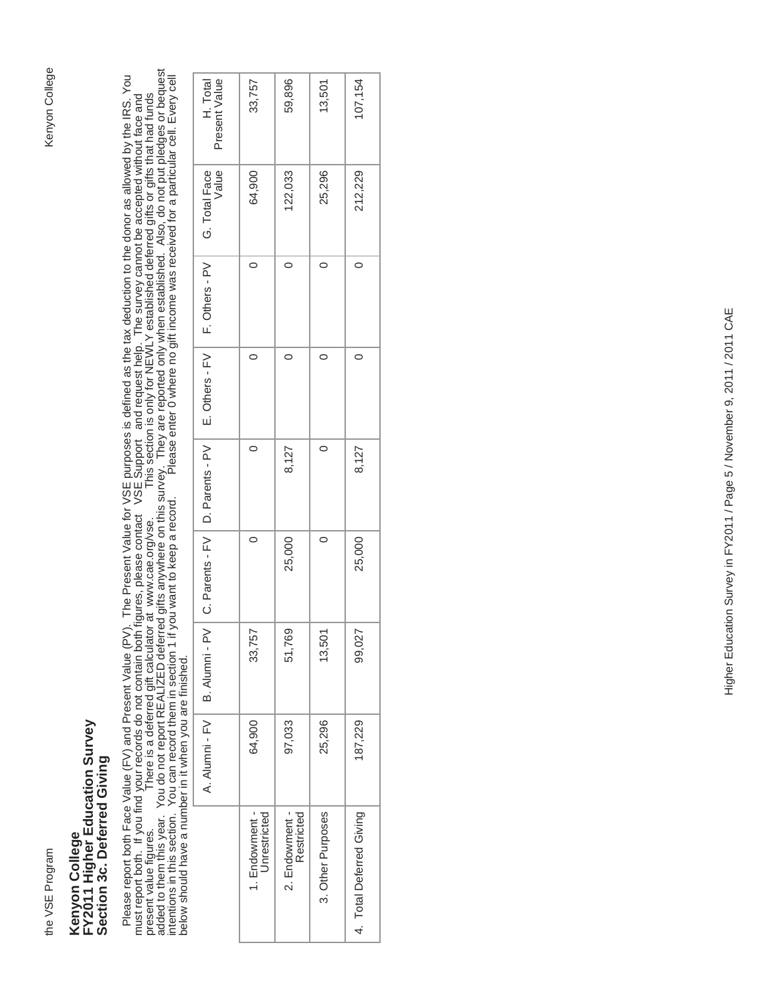# Kenyon College the VSE Program Kenyon College

## Kenyon College<br>FY2011 Higher Education Survey<br>Section 3c. Deferred Giving **FY2011 Higher Education Survey Section 3c. Deferred Giving Kenyon College**

Please report both Face Value (FV) and Present Value (PV). The Present Value for VSE purposes is defined as the tax deduction to the donor as allowed by the IRS. You<br>must report both. If you find your records do not contai added to them this year. You do not report REALIZED deferred gifts anywhere on this survey. They are reported only when established. Also, do not put pledges or bequest Please report both Face Value (FV) and Present Value (PV). The Present Value for VSE purposes is defined as the tax deduction to the donor as allowed by the IRS. You intentions in this section. You can record them in section 1 if you want to keep a record. Please enter 0 where no gift income was received for a particular cell. Every cell present value figures. There is a deferred gift calculator at www.cae.org/vse. This section is only for NEWLY established deferred gifts or gifts that had funds must report both. If you find your records do not contain both figures, please contact VSE Support and request help. The survey cannot be accepted without face and below should have a number in it when you are finished.

| Present Value<br>H. Total                                           | 33,757                         | 59,896                       | 13,501            | 107,154                  |
|---------------------------------------------------------------------|--------------------------------|------------------------------|-------------------|--------------------------|
| Value<br>G. Total Face                                              | 64,900                         | 122,033                      | 25,296            | 212,229                  |
| E. Others - FV   F. Others - PV                                     |                                | $\subset$                    |                   | 0                        |
|                                                                     |                                |                              |                   |                          |
| A. Alumni - FV   B. Alumni - PV   C. Parents - FV   D. Parents - PV |                                | 8,127                        |                   | 8,127                    |
|                                                                     | $\circ$                        | 25,000                       | $\circ$           | 25,000                   |
|                                                                     | 33,757                         | 51,769                       | 13,501            | 99,027                   |
|                                                                     | 64,900                         | 97,033                       | 25,296            | 187,229                  |
|                                                                     | 1. Endowment -<br>Unrestricted | 2. Endowment -<br>Restricted | 3. Other Purposes | 4. Total Deferred Giving |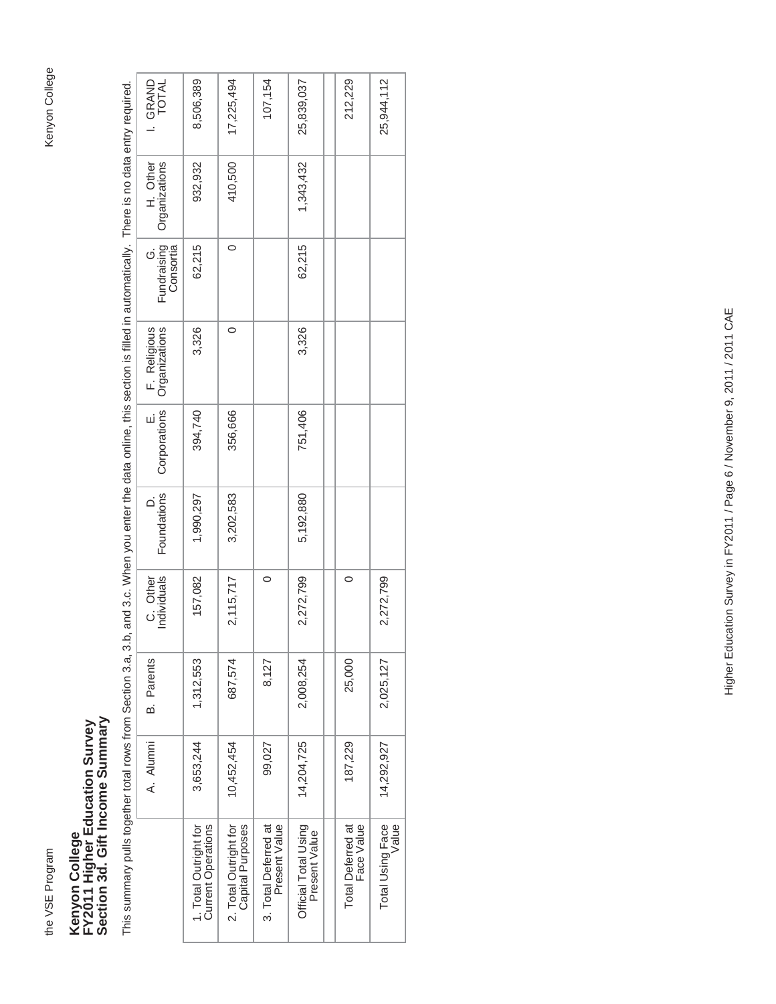the VSE Program

## Kenyon College<br>FY2011 Higher Education Survey<br>Section 3d. Gift Income Summary **Section 3d. Gift Income Summary FY2011 Higher Education Survey Kenyon College**

This summary pulls together total rows from Section 3.a, 3.b, and 3.c. When you enter the data online, this section is filled in automatically. There is no data entry required. This summary pulls together total rows from Section 3.a, 3.b, and 3.c. When you enter the data online, this section is filled in automatically. There is no data entry required.

| I. GRAND<br>TOTAL              | 8,506,389                                          | 17,225,494                                | 107,154                               | 25,839,037                            | 212,229                         | 25,944,112                |
|--------------------------------|----------------------------------------------------|-------------------------------------------|---------------------------------------|---------------------------------------|---------------------------------|---------------------------|
| H. Other<br>Organizations      | 932,932                                            | 410,500                                   |                                       | 1,343,432                             |                                 |                           |
| G.<br>Fundraising<br>Consortia | 62,215                                             | $\circ$                                   |                                       | 62,215                                |                                 |                           |
| F. Religious<br>Organizations  | 3,326                                              | 0                                         |                                       | 3,326                                 |                                 |                           |
| E.<br>Corporations             | 394,740                                            | 356,666                                   |                                       | 751,406                               |                                 |                           |
| Foundations                    | 1,990,297                                          | 3,202,583                                 |                                       | 5,192,880                             |                                 |                           |
| C. Other<br>Individuals        | 157,082                                            | 2,115,717                                 | 0                                     | 2,272,799                             | 0                               | 2,272,799                 |
| <b>B.</b> Parents              | 1,312,553                                          | 687,574                                   | 8,127                                 | 2,008,254                             | 25,000                          | 2,025,127                 |
| A. Alumni                      | 3,653,244                                          | 10,452,454                                | 99,027                                | 14,204,725                            | 187,229                         | 14,292,927                |
|                                | <b>Current Operations</b><br>1. Total Outright for | 2. Total Outright for<br>Capital Purposes | 3. Total Deferred at<br>Present Value | Official Total Using<br>Present Value | Total Deferred at<br>Face Value | Total Using Face<br>Value |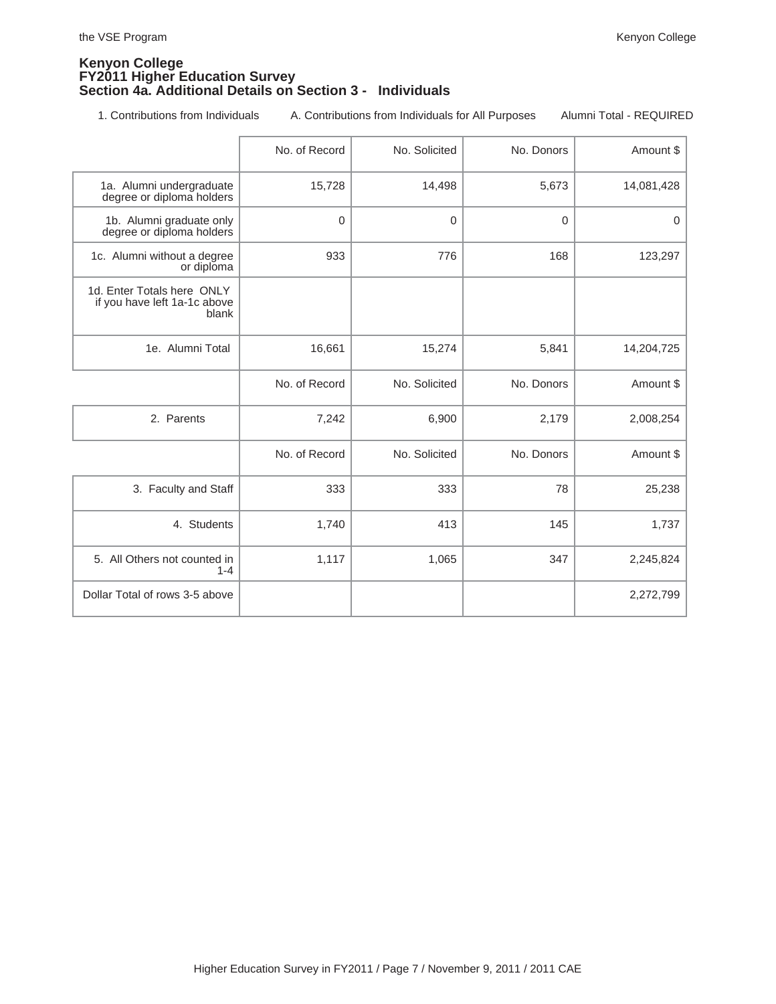### **Kenyon College FY2011 Higher Education Survey Section 4a. Additional Details on Section 3 - Individuals**

1. Contributions from Individuals A. Contributions from Individuals for All Purposes Alumni Total - REQUIRED

|                                                                     | No. of Record | No. Solicited | No. Donors | Amount \$  |
|---------------------------------------------------------------------|---------------|---------------|------------|------------|
| 1a. Alumni undergraduate<br>degree or diploma holders               | 15,728        | 14,498        | 5,673      | 14,081,428 |
| 1b. Alumni graduate only<br>degree or diploma holders               | $\Omega$      | $\Omega$      | $\Omega$   | $\Omega$   |
| 1c. Alumni without a degree<br>or diploma                           | 933           | 776           | 168        | 123,297    |
| 1d. Enter Totals here ONLY<br>if you have left 1a-1c above<br>blank |               |               |            |            |
| 1e. Alumni Total                                                    | 16,661        | 15,274        | 5,841      | 14,204,725 |
|                                                                     | No. of Record | No. Solicited | No. Donors | Amount \$  |
| 2. Parents                                                          | 7,242         | 6,900         | 2,179      | 2,008,254  |
|                                                                     | No. of Record | No. Solicited | No. Donors | Amount \$  |
| 3. Faculty and Staff                                                | 333           | 333           | 78         | 25,238     |
| 4. Students                                                         | 1,740         | 413           | 145        | 1,737      |
| 5. All Others not counted in<br>$1 - 4$                             | 1,117         | 1,065         | 347        | 2,245,824  |
| Dollar Total of rows 3-5 above                                      |               |               |            | 2,272,799  |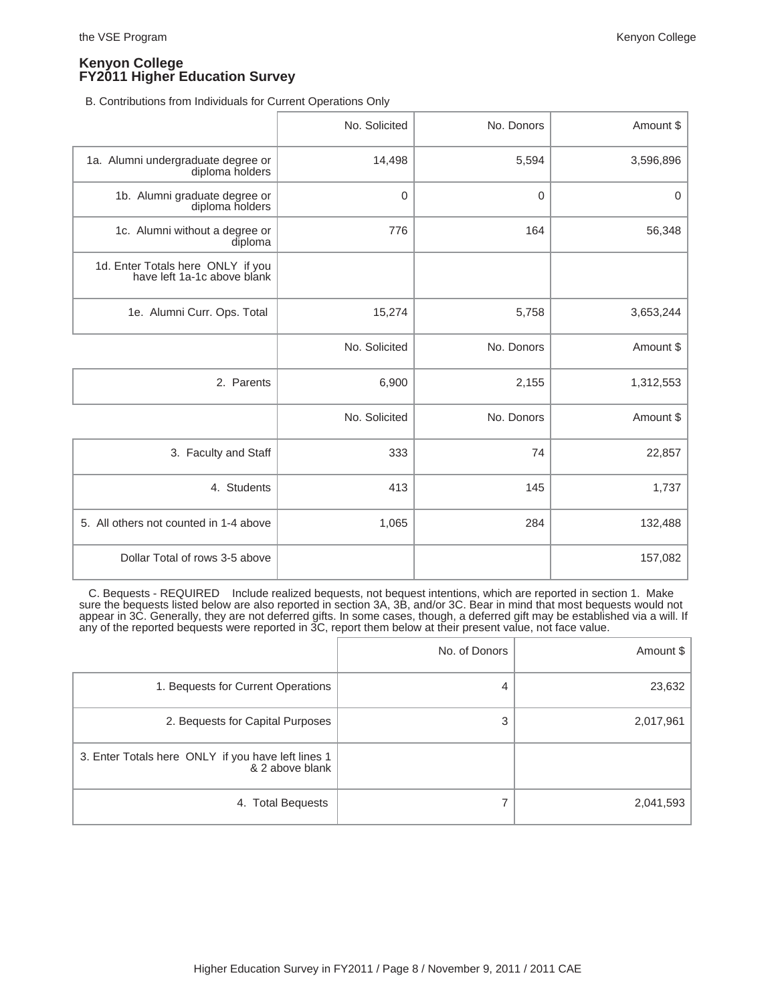B. Contributions from Individuals for Current Operations Only

|                                                                  | No. Solicited  | No. Donors  | Amount \$ |
|------------------------------------------------------------------|----------------|-------------|-----------|
| 1a. Alumni undergraduate degree or<br>diploma holders            | 14,498         | 5,594       | 3,596,896 |
| 1b. Alumni graduate degree or<br>diploma holders                 | $\overline{0}$ | $\mathbf 0$ | 0         |
| 1c. Alumni without a degree or<br>diploma                        | 776            | 164         | 56,348    |
| 1d. Enter Totals here ONLY if you<br>have left 1a-1c above blank |                |             |           |
| 1e. Alumni Curr. Ops. Total                                      | 15,274         | 5,758       | 3,653,244 |
|                                                                  | No. Solicited  | No. Donors  | Amount \$ |
| 2. Parents                                                       | 6,900          | 2,155       | 1,312,553 |
|                                                                  | No. Solicited  | No. Donors  | Amount \$ |
| 3. Faculty and Staff                                             | 333            | 74          | 22,857    |
| 4. Students                                                      | 413            | 145         | 1,737     |
| 5. All others not counted in 1-4 above                           | 1,065          | 284         | 132,488   |
| Dollar Total of rows 3-5 above                                   |                |             | 157,082   |

 C. Bequests - REQUIRED Include realized bequests, not bequest intentions, which are reported in section 1. Make sure the bequests listed below are also reported in section 3A, 3B, and/or 3C. Bear in mind that most bequests would not appear in 3C. Generally, they are not deferred gifts. In some cases, though, a deferred gift may be established via a will. If any of the reported bequests were reported in 3C, report them below at their present value, not face value.

|                                                                       | No. of Donors | Amount $\frac{1}{2}$ |
|-----------------------------------------------------------------------|---------------|----------------------|
| 1. Bequests for Current Operations                                    | 4             | 23,632               |
| 2. Bequests for Capital Purposes                                      | 3             | 2,017,961            |
| 3. Enter Totals here ONLY if you have left lines 1<br>& 2 above blank |               |                      |
| 4. Total Bequests                                                     |               | 2,041,593            |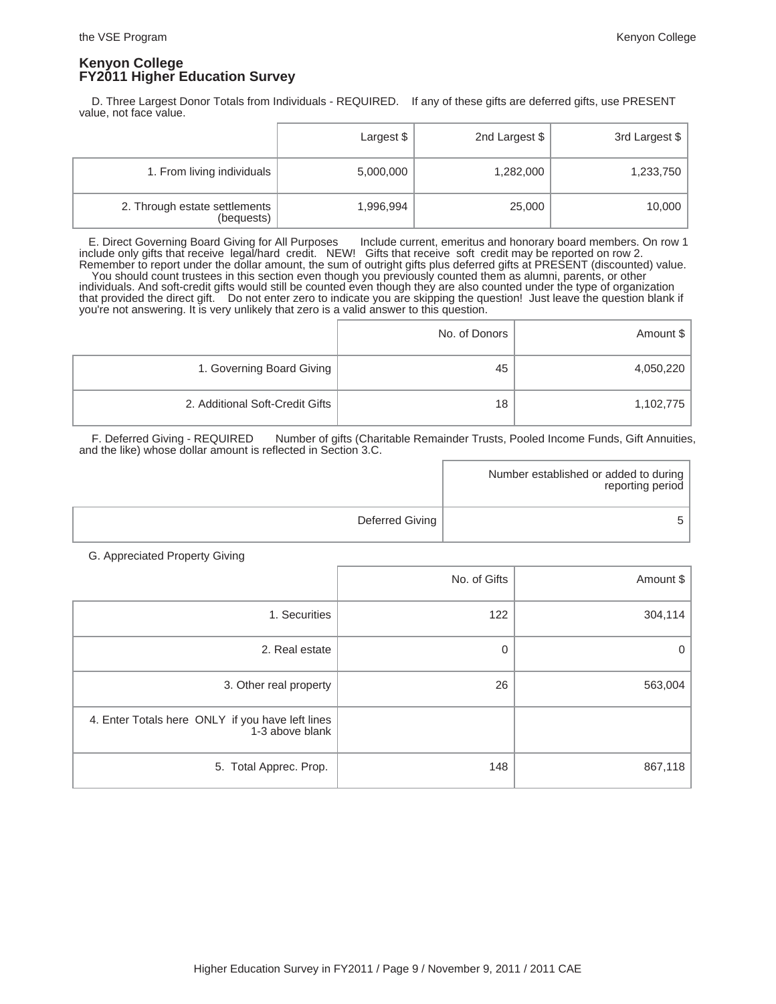D. Three Largest Donor Totals from Individuals - REQUIRED. If any of these gifts are deferred gifts, use PRESENT value, not face value.

|                                             | Largest \$ | 2nd Largest \$ | 3rd Largest \$ |
|---------------------------------------------|------------|----------------|----------------|
| 1. From living individuals                  | 5,000,000  | 1,282,000      | 1,233,750      |
| 2. Through estate settlements<br>(bequests) | 1,996,994  | 25,000         | 10,000         |

 E. Direct Governing Board Giving for All Purposes Include current, emeritus and honorary board members. On row 1 include only gifts that receive legal/hard credit. NEW! Gifts that receive soft credit may be reported on row 2. Remember to report under the dollar amount, the sum of outright gifts plus deferred gifts at PRESENT (discounted) value. You should count trustees in this section even though you previously counted them as alumni, parents, or other individuals. And soft-credit gifts would still be counted even though they are also counted under the type of organization that provided the direct gift. Do not enter zero to indicate you are skipping the question! Just leave the question blank if you're not answering. It is very unlikely that zero is a valid answer to this question.

|                                 | No. of Donors | Amount \$ |
|---------------------------------|---------------|-----------|
| 1. Governing Board Giving       | 45            | 4,050,220 |
| 2. Additional Soft-Credit Gifts | 18            | 1,102,775 |

 F. Deferred Giving - REQUIRED Number of gifts (Charitable Remainder Trusts, Pooled Income Funds, Gift Annuities, and the like) whose dollar amount is reflected in Section 3.C.

|                 | Number established or added to during  <br>reporting period |
|-----------------|-------------------------------------------------------------|
| Deferred Giving |                                                             |

G. Appreciated Property Giving

|                                                                     | No. of Gifts | Amount \$ |
|---------------------------------------------------------------------|--------------|-----------|
| 1. Securities                                                       | 122          | 304,114   |
| 2. Real estate                                                      | 0            | 0         |
| 3. Other real property                                              | 26           | 563,004   |
| 4. Enter Totals here ONLY if you have left lines<br>1-3 above blank |              |           |
| 5. Total Apprec. Prop.                                              | 148          | 867,118   |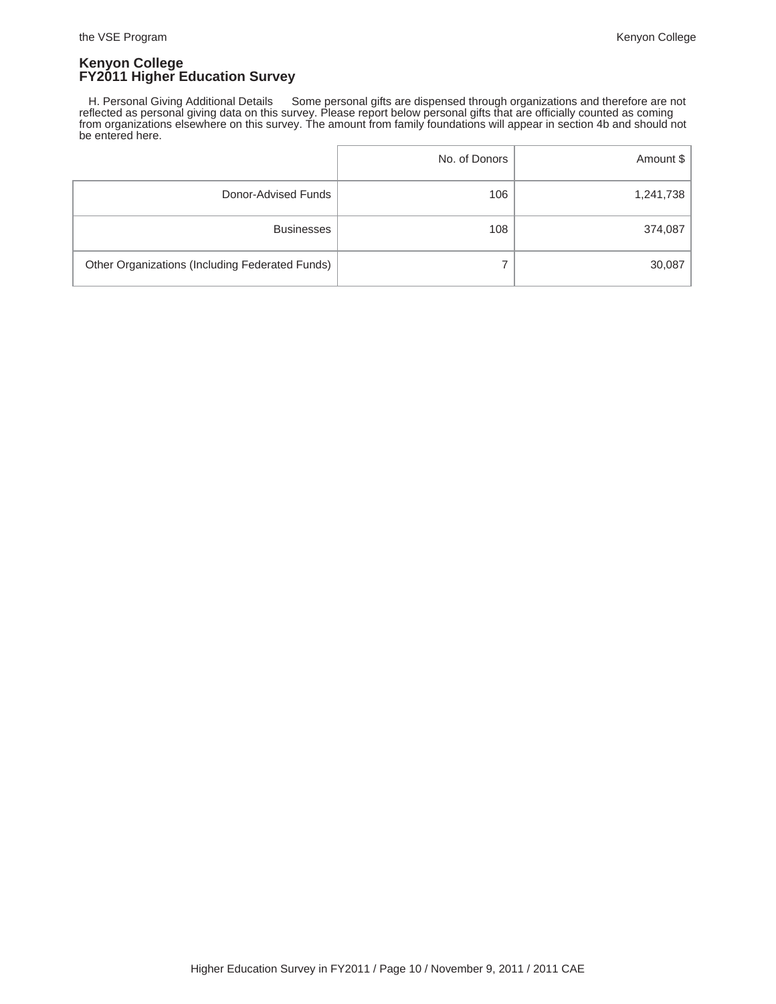H. Personal Giving Additional Details Some personal gifts are dispensed through organizations and therefore are not reflected as personal giving data on this survey. Please report below personal gifts that are officially counted as coming from organizations elsewhere on this survey. The amount from family foundations will appear in section 4b and should not be entered here.

|                                                 | No. of Donors | Amount \$ |
|-------------------------------------------------|---------------|-----------|
| Donor-Advised Funds                             | 106           | 1,241,738 |
| <b>Businesses</b>                               | 108           | 374,087   |
| Other Organizations (Including Federated Funds) |               | 30,087    |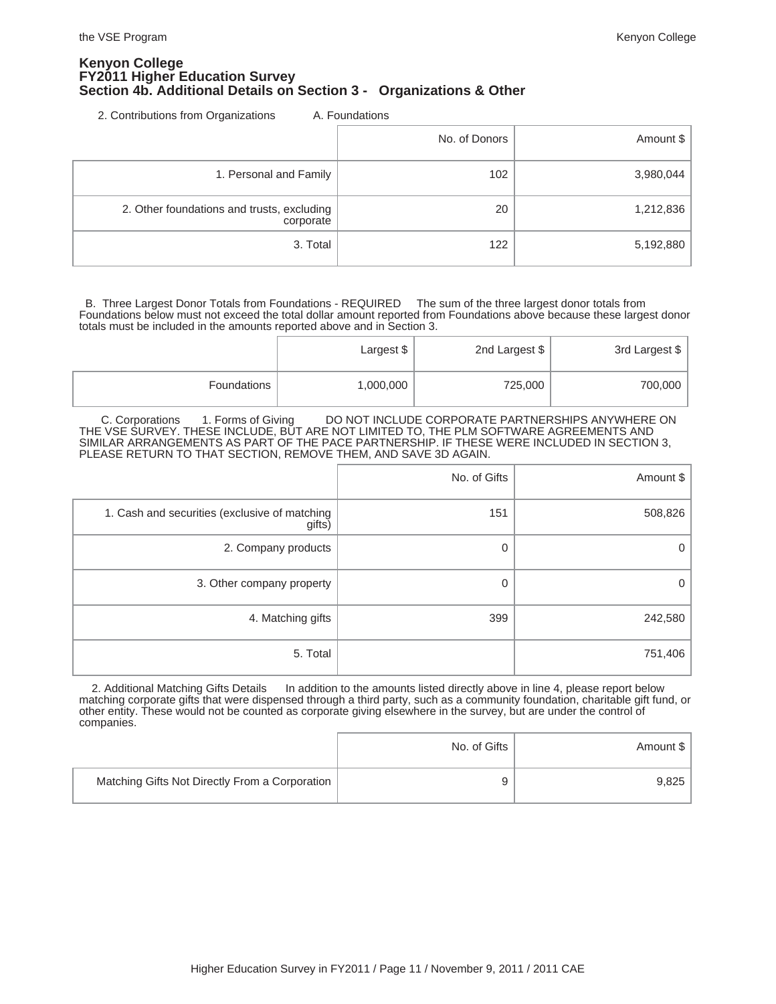### **Kenyon College FY2011 Higher Education Survey Section 4b. Additional Details on Section 3 - Organizations & Other**

2. Contributions from Organizations A. Foundations

|                                                         | No. of Donors | Amount $\frac{1}{2}$ |
|---------------------------------------------------------|---------------|----------------------|
| 1. Personal and Family                                  | 102           | 3,980,044            |
| 2. Other foundations and trusts, excluding<br>corporate | 20            | 1,212,836            |
| 3. Total                                                | 122           | 5,192,880            |

 B. Three Largest Donor Totals from Foundations - REQUIRED The sum of the three largest donor totals from Foundations below must not exceed the total dollar amount reported from Foundations above because these largest donor totals must be included in the amounts reported above and in Section 3.

|             | Largest $$^{\dagger}$ | 2nd Largest \$ | 3rd Largest \$ |
|-------------|-----------------------|----------------|----------------|
| Foundations | 1,000,000             | 725,000        | 700,000        |

C. Corporations 1. Forms of Giving DO NOT INCLUDE CORPORATE PARTNERSHIPS ANYWHERE ON THE VSE SURVEY. THESE INCLUDE, BUT ARE NOT LIMITED TO, THE PLM SOFTWARE AGREEMENTS AND SIMILAR ARRANGEMENTS AS PART OF THE PACE PARTNERSHIP. IF THESE WERE INCLUDED IN SECTION 3, PLEASE RETURN TO THAT SECTION, REMOVE THEM, AND SAVE 3D AGAIN.

|                                                         | No. of Gifts | Amount \$ |
|---------------------------------------------------------|--------------|-----------|
| 1. Cash and securities (exclusive of matching<br>gifts) | 151          | 508,826   |
| 2. Company products                                     | 0            | 0         |
| 3. Other company property                               | 0            | 0         |
| 4. Matching gifts                                       | 399          | 242,580   |
| 5. Total                                                |              | 751,406   |

2. Additional Matching Gifts Details In addition to the amounts listed directly above in line 4, please report below matching corporate gifts that were dispensed through a third party, such as a community foundation, charitable gift fund, or other entity. These would not be counted as corporate giving elsewhere in the survey, but are under the control of companies.

|                                                | No. of Gifts | Amount \$ |
|------------------------------------------------|--------------|-----------|
| Matching Gifts Not Directly From a Corporation | a            | 9.825     |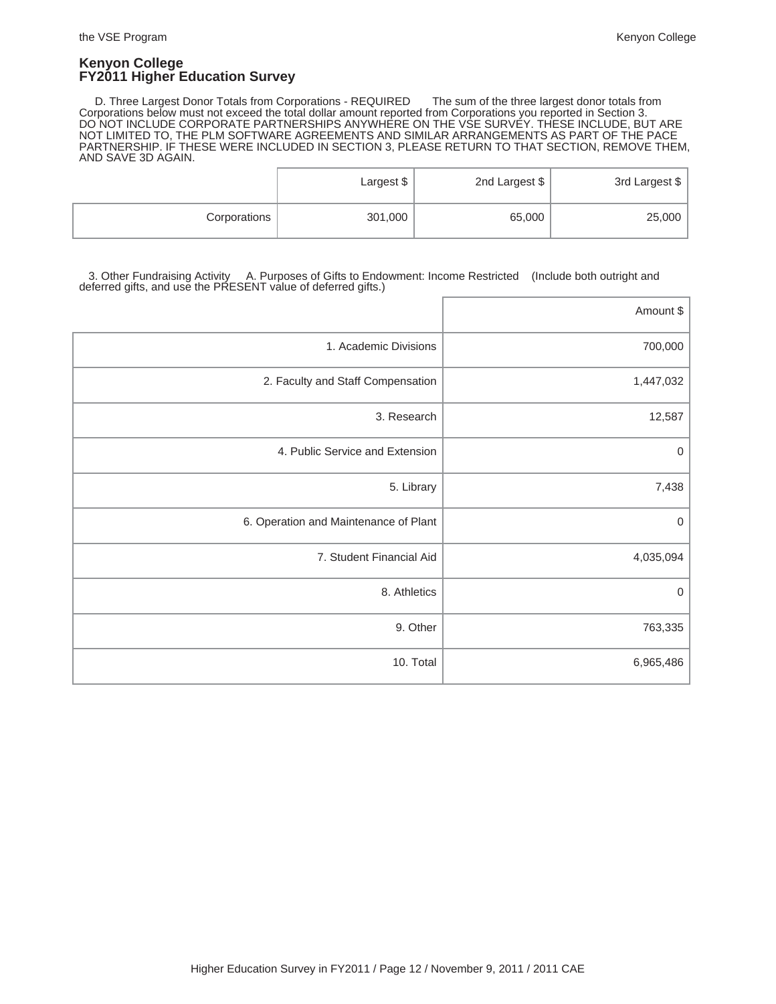D. Three Largest Donor Totals from Corporations - REQUIRED The sum of the three largest donor totals from Corporations below must not exceed the total dollar amount reported from Corporations you reported in Section 3. DO NOT INCLUDE CORPORATE PARTNERSHIPS ANYWHERE ON THE VSE SURVEY. THESE INCLUDE, BUT ARE NOT LIMITED TO, THE PLM SOFTWARE AGREEMENTS AND SIMILAR ARRANGEMENTS AS PART OF THE PACE PARTNERSHIP. IF THESE WERE INCLUDED IN SECTION 3, PLEASE RETURN TO THAT SECTION, REMOVE THEM, AND SAVE 3D AGAIN.

|              | Largest $$^{\dagger}$ | 2nd Largest \$ | 3rd Largest \$ |
|--------------|-----------------------|----------------|----------------|
| Corporations | 301,000               | 65,000         | 25,000         |

 3. Other Fundraising Activity A. Purposes of Gifts to Endowment: Income Restricted (Include both outright and deferred gifts, and use the PRESENT value of deferred gifts.)

|                                       | Amount \$   |
|---------------------------------------|-------------|
| 1. Academic Divisions                 | 700,000     |
| 2. Faculty and Staff Compensation     | 1,447,032   |
| 3. Research                           | 12,587      |
| 4. Public Service and Extension       | 0           |
| 5. Library                            | 7,438       |
| 6. Operation and Maintenance of Plant | 0           |
| 7. Student Financial Aid              | 4,035,094   |
| 8. Athletics                          | $\mathbf 0$ |
| 9. Other                              | 763,335     |
| 10. Total                             | 6,965,486   |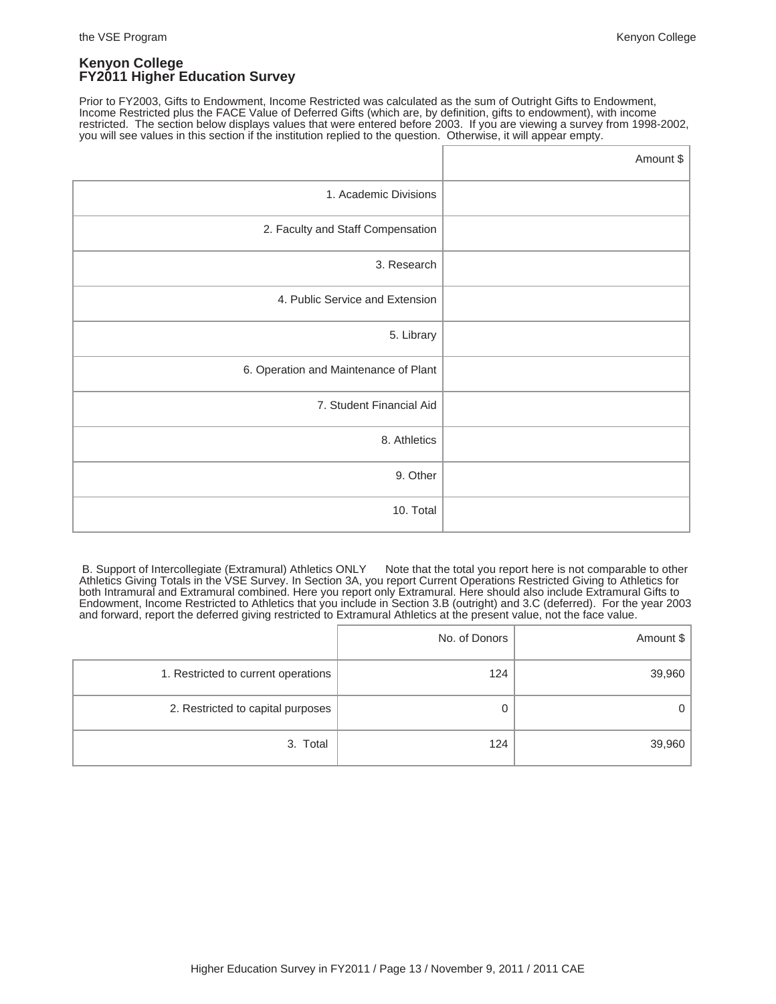Prior to FY2003, Gifts to Endowment, Income Restricted was calculated as the sum of Outright Gifts to Endowment, Income Restricted plus the FACE Value of Deferred Gifts (which are, by definition, gifts to endowment), with income restricted. The section below displays values that were entered before 2003. If you are viewing a survey from 1998-2002, you will see values in this section if the institution replied to the question. Otherwise, it will appear empty.

|                                       | Amount \$ |
|---------------------------------------|-----------|
| 1. Academic Divisions                 |           |
| 2. Faculty and Staff Compensation     |           |
| 3. Research                           |           |
| 4. Public Service and Extension       |           |
| 5. Library                            |           |
| 6. Operation and Maintenance of Plant |           |
| 7. Student Financial Aid              |           |
| 8. Athletics                          |           |
| 9. Other                              |           |
| 10. Total                             |           |

B. Support of Intercollegiate (Extramural) Athletics ONLY Note that the total you report here is not comparable to other Athletics Giving Totals in the VSE Survey. In Section 3A, you report Current Operations Restricted Giving to Athletics for both Intramural and Extramural combined. Here you report only Extramural. Here should also include Extramural Gifts to Endowment, Income Restricted to Athletics that you include in Section 3.B (outright) and 3.C (deferred). For the year 2003 and forward, report the deferred giving restricted to Extramural Athletics at the present value, not the face value.

|                                     | No. of Donors | Amount \$ |
|-------------------------------------|---------------|-----------|
| 1. Restricted to current operations | 124           | 39,960    |
| 2. Restricted to capital purposes   | Ő             |           |
| 3. Total                            | 124           | 39,960    |